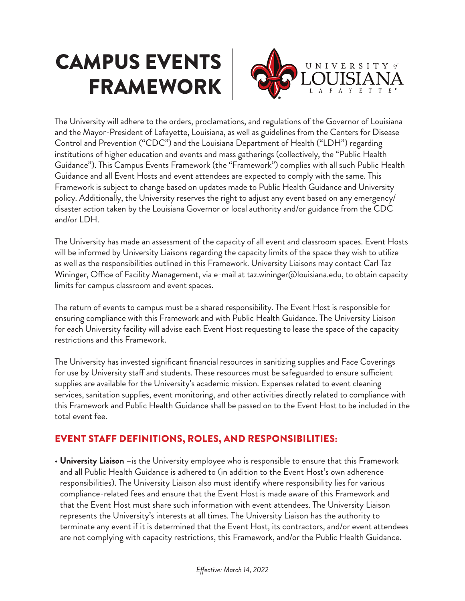## CAMPUS EVENTS FRAMEWORK



The University will adhere to the orders, proclamations, and regulations of the Governor of Louisiana and the Mayor-President of Lafayette, Louisiana, as well as guidelines from the Centers for Disease Control and Prevention ("CDC") and the Louisiana Department of Health ("LDH") regarding institutions of higher education and events and mass gatherings (collectively, the "Public Health Guidance"). This Campus Events Framework (the "Framework") complies with all such Public Health Guidance and all Event Hosts and event attendees are expected to comply with the same. This Framework is subject to change based on updates made to Public Health Guidance and University policy. Additionally, the University reserves the right to adjust any event based on any emergency/ disaster action taken by the Louisiana Governor or local authority and/or guidance from the CDC and/or LDH.

The University has made an assessment of the capacity of all event and classroom spaces. Event Hosts will be informed by University Liaisons regarding the capacity limits of the space they wish to utilize as well as the responsibilities outlined in this Framework. University Liaisons may contact Carl Taz Wininger, Office of Facility Management, via e-mail at taz.wininger@louisiana.edu, to obtain capacity limits for campus classroom and event spaces.

The return of events to campus must be a shared responsibility. The Event Host is responsible for ensuring compliance with this Framework and with Public Health Guidance. The University Liaison for each University facility will advise each Event Host requesting to lease the space of the capacity restrictions and this Framework.

The University has invested significant financial resources in sanitizing supplies and Face Coverings for use by University staff and students. These resources must be safeguarded to ensure sufficient supplies are available for the University's academic mission. Expenses related to event cleaning services, sanitation supplies, event monitoring, and other activities directly related to compliance with this Framework and Public Health Guidance shall be passed on to the Event Host to be included in the total event fee.

## EVENT STAFF DEFINITIONS, ROLES, AND RESPONSIBILITIES:

• **University Liaison** –is the University employee who is responsible to ensure that this Framework and all Public Health Guidance is adhered to (in addition to the Event Host's own adherence responsibilities). The University Liaison also must identify where responsibility lies for various compliance-related fees and ensure that the Event Host is made aware of this Framework and that the Event Host must share such information with event attendees. The University Liaison represents the University's interests at all times. The University Liaison has the authority to terminate any event if it is determined that the Event Host, its contractors, and/or event attendees are not complying with capacity restrictions, this Framework, and/or the Public Health Guidance.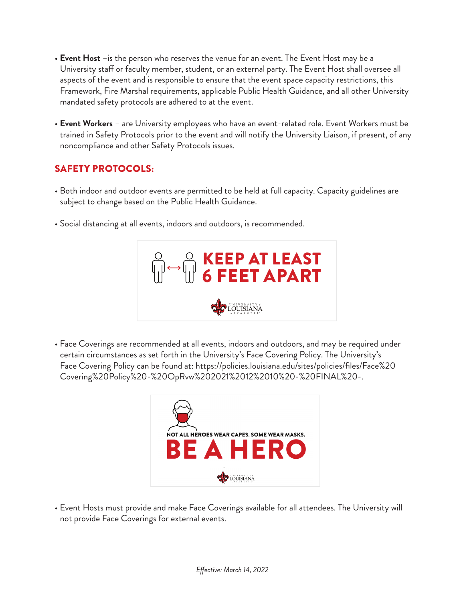- **Event Host** –is the person who reserves the venue for an event. The Event Host may be a University staff or faculty member, student, or an external party. The Event Host shall oversee all aspects of the event and is responsible to ensure that the event space capacity restrictions, this Framework, Fire Marshal requirements, applicable Public Health Guidance, and all other University mandated safety protocols are adhered to at the event.
- **Event Workers** are University employees who have an event-related role. Event Workers must be trained in Safety Protocols prior to the event and will notify the University Liaison, if present, of any noncompliance and other Safety Protocols issues.

## SAFETY PROTOCOLS:

- Both indoor and outdoor events are permitted to be held at full capacity. Capacity guidelines are subject to change based on the Public Health Guidance.
- Social distancing at all events, indoors and outdoors, is recommended.



• Face Coverings are recommended at all events, indoors and outdoors, and may be required under certain circumstances as set forth in the University's Face Covering Policy. The University's Face Covering Policy can be found at: https://policies.louisiana.edu/sites/policies/files/Face%20 Covering%20Policy%20-%20OpRvw%202021%2012%2010%20-%20FINAL%20-.



• Event Hosts must provide and make Face Coverings available for all attendees. The University will not provide Face Coverings for external events.